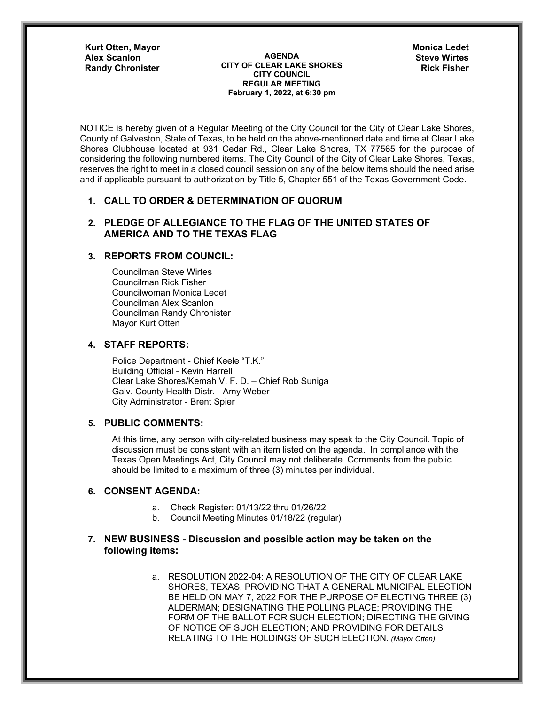**Kurt Otten, Mayor**

**AGENDA CITY OF CLEAR LAKE SHORES CITY COUNCIL REGULAR MEETING February 1, 2022, at 6:30 pm** Alex Scanlon **Steve Wirtes AGENDA** AGENDA **Steve Wirtes Randy Chronister CITY OF CLEAR LAKE SHORES** Rick Fisher

**Monica Ledet**

NOTICE is hereby given of a Regular Meeting of the City Council for the City of Clear Lake Shores, County of Galveston, State of Texas, to be held on the above-mentioned date and time at Clear Lake Shores Clubhouse located at 931 Cedar Rd., Clear Lake Shores, TX 77565 for the purpose of considering the following numbered items. The City Council of the City of Clear Lake Shores, Texas, reserves the right to meet in a closed council session on any of the below items should the need arise and if applicable pursuant to authorization by Title 5, Chapter 551 of the Texas Government Code.

# **1. CALL TO ORDER & DETERMINATION OF QUORUM**

## **2. PLEDGE OF ALLEGIANCE TO THE FLAG OF THE UNITED STATES OF AMERICA AND TO THE TEXAS FLAG**

## **3. REPORTS FROM COUNCIL:**

Councilman Steve Wirtes Councilman Rick Fisher Councilwoman Monica Ledet Councilman Alex Scanlon Councilman Randy Chronister Mayor Kurt Otten

### **4. STAFF REPORTS:**

Police Department - Chief Keele "T.K." Building Official - Kevin Harrell Clear Lake Shores/Kemah V. F. D. – Chief Rob Suniga Galv. County Health Distr. - Amy Weber City Administrator - Brent Spier

### **5. PUBLIC COMMENTS:**

At this time, any person with city-related business may speak to the City Council. Topic of discussion must be consistent with an item listed on the agenda. In compliance with the Texas Open Meetings Act, City Council may not deliberate. Comments from the public should be limited to a maximum of three (3) minutes per individual.

### **6. CONSENT AGENDA:**

- a. Check Register: 01/13/22 thru 01/26/22
- b. Council Meeting Minutes 01/18/22 (regular)

## **7. NEW BUSINESS - Discussion and possible action may be taken on the following items:**

a. RESOLUTION 2022-04: A RESOLUTION OF THE CITY OF CLEAR LAKE SHORES, TEXAS, PROVIDING THAT A GENERAL MUNICIPAL ELECTION BE HELD ON MAY 7, 2022 FOR THE PURPOSE OF ELECTING THREE (3) ALDERMAN; DESIGNATING THE POLLING PLACE; PROVIDING THE FORM OF THE BALLOT FOR SUCH ELECTION; DIRECTING THE GIVING OF NOTICE OF SUCH ELECTION; AND PROVIDING FOR DETAILS RELATING TO THE HOLDINGS OF SUCH ELECTION. *(Mayor Otten)*